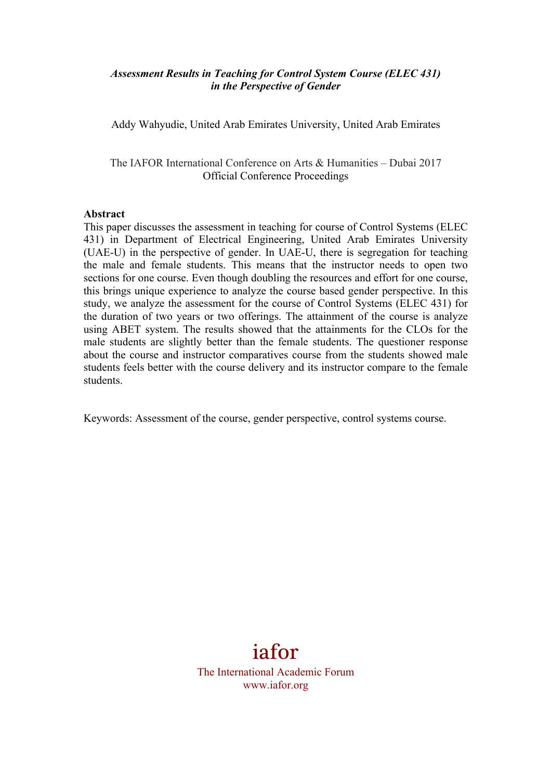#### *Assessment Results in Teaching for Control System Course (ELEC 431) in the Perspective of Gender*

Addy Wahyudie, United Arab Emirates University, United Arab Emirates

The IAFOR International Conference on Arts & Humanities – Dubai 2017 Official Conference Proceedings

#### **Abstract**

This paper discusses the assessment in teaching for course of Control Systems (ELEC 431) in Department of Electrical Engineering, United Arab Emirates University (UAE-U) in the perspective of gender. In UAE-U, there is segregation for teaching the male and female students. This means that the instructor needs to open two sections for one course. Even though doubling the resources and effort for one course, this brings unique experience to analyze the course based gender perspective. In this study, we analyze the assessment for the course of Control Systems (ELEC 431) for the duration of two years or two offerings. The attainment of the course is analyze using ABET system. The results showed that the attainments for the CLOs for the male students are slightly better than the female students. The questioner response about the course and instructor comparatives course from the students showed male students feels better with the course delivery and its instructor compare to the female students.

Keywords: Assessment of the course, gender perspective, control systems course.

# iafor

The International Academic Forum www.iafor.org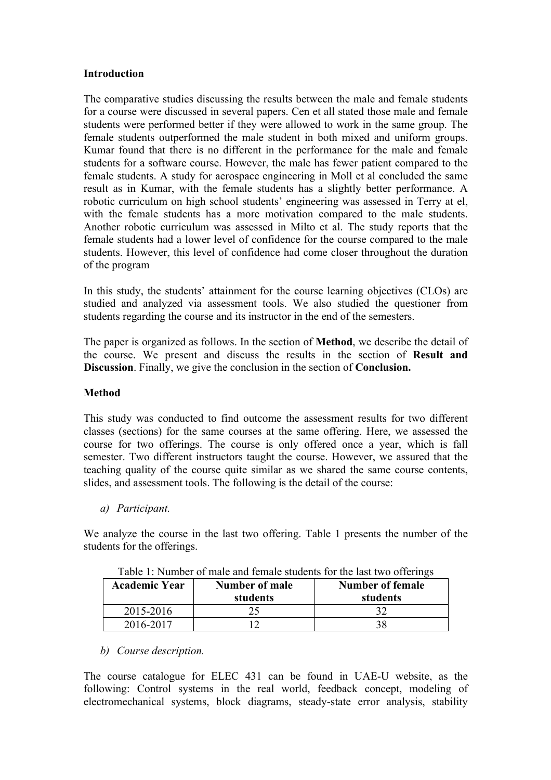#### **Introduction**

The comparative studies discussing the results between the male and female students for a course were discussed in several papers. Cen et all stated those male and female students were performed better if they were allowed to work in the same group. The female students outperformed the male student in both mixed and uniform groups. Kumar found that there is no different in the performance for the male and female students for a software course. However, the male has fewer patient compared to the female students. A study for aerospace engineering in Moll et al concluded the same result as in Kumar, with the female students has a slightly better performance. A robotic curriculum on high school students' engineering was assessed in Terry at el, with the female students has a more motivation compared to the male students. Another robotic curriculum was assessed in Milto et al. The study reports that the female students had a lower level of confidence for the course compared to the male students. However, this level of confidence had come closer throughout the duration of the program

In this study, the students' attainment for the course learning objectives (CLOs) are studied and analyzed via assessment tools. We also studied the questioner from students regarding the course and its instructor in the end of the semesters.

The paper is organized as follows. In the section of **Method**, we describe the detail of the course. We present and discuss the results in the section of **Result and Discussion**. Finally, we give the conclusion in the section of **Conclusion.**

#### **Method**

This study was conducted to find outcome the assessment results for two different classes (sections) for the same courses at the same offering. Here, we assessed the course for two offerings. The course is only offered once a year, which is fall semester. Two different instructors taught the course. However, we assured that the teaching quality of the course quite similar as we shared the same course contents, slides, and assessment tools. The following is the detail of the course:

*a) Participant.*

We analyze the course in the last two offering. Table 1 presents the number of the students for the offerings.

| <b>Academic Year</b> | Number of male<br>students | <b>Number of female</b><br>students |
|----------------------|----------------------------|-------------------------------------|
| 2015-2016            |                            |                                     |
| 2016-2017            |                            |                                     |

| Table 1: Number of male and female students for the last two offerings |  |  |  |
|------------------------------------------------------------------------|--|--|--|
|------------------------------------------------------------------------|--|--|--|

#### *b) Course description.*

The course catalogue for ELEC 431 can be found in UAE-U website, as the following: Control systems in the real world, feedback concept, modeling of electromechanical systems, block diagrams, steady-state error analysis, stability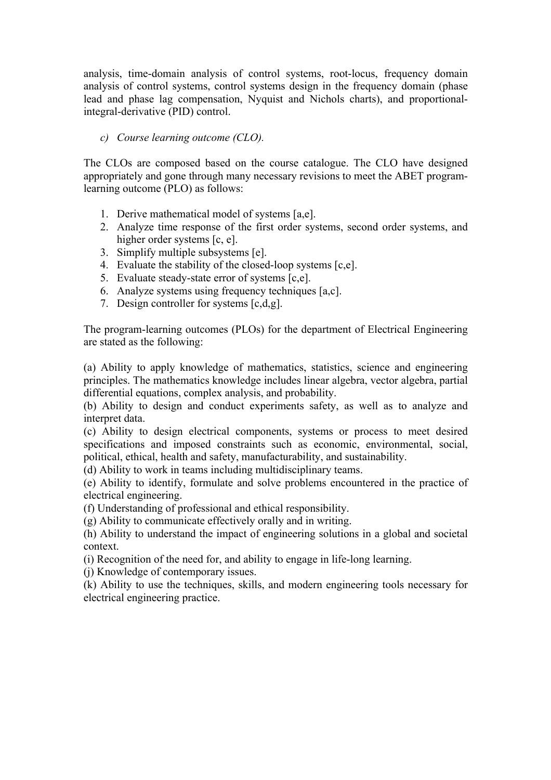analysis, time-domain analysis of control systems, root-locus, frequency domain analysis of control systems, control systems design in the frequency domain (phase lead and phase lag compensation, Nyquist and Nichols charts), and proportionalintegral-derivative (PID) control.

#### *c) Course learning outcome (CLO).*

The CLOs are composed based on the course catalogue. The CLO have designed appropriately and gone through many necessary revisions to meet the ABET programlearning outcome (PLO) as follows:

- 1. Derive mathematical model of systems [a,e].
- 2. Analyze time response of the first order systems, second order systems, and higher order systems [c, e].
- 3. Simplify multiple subsystems [e].
- 4. Evaluate the stability of the closed-loop systems [c,e].
- 5. Evaluate steady-state error of systems [c,e].
- 6. Analyze systems using frequency techniques [a,c].
- 7. Design controller for systems [c,d,g].

The program-learning outcomes (PLOs) for the department of Electrical Engineering are stated as the following:

(a) Ability to apply knowledge of mathematics, statistics, science and engineering principles. The mathematics knowledge includes linear algebra, vector algebra, partial differential equations, complex analysis, and probability.

(b) Ability to design and conduct experiments safety, as well as to analyze and interpret data.

(c) Ability to design electrical components, systems or process to meet desired specifications and imposed constraints such as economic, environmental, social, political, ethical, health and safety, manufacturability, and sustainability.

(d) Ability to work in teams including multidisciplinary teams.

(e) Ability to identify, formulate and solve problems encountered in the practice of electrical engineering.

(f) Understanding of professional and ethical responsibility.

(g) Ability to communicate effectively orally and in writing.

(h) Ability to understand the impact of engineering solutions in a global and societal context.

(i) Recognition of the need for, and ability to engage in life-long learning.

(j) Knowledge of contemporary issues.

(k) Ability to use the techniques, skills, and modern engineering tools necessary for electrical engineering practice.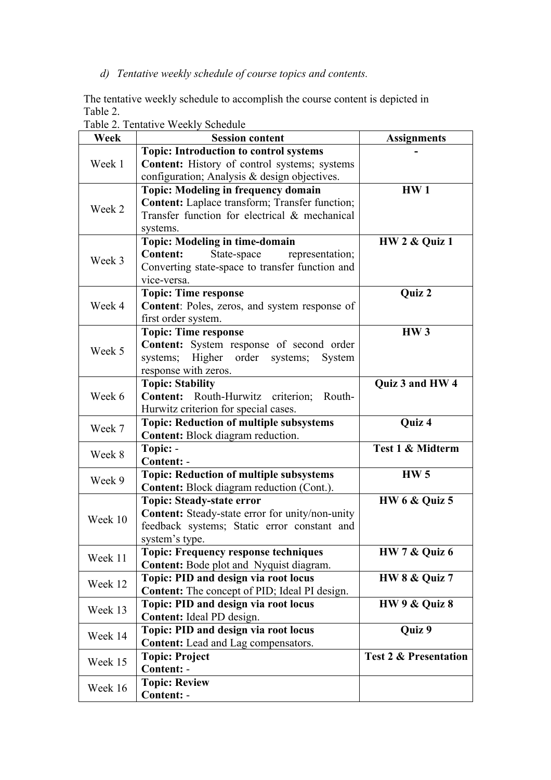### *d) Tentative weekly schedule of course topics and contents.*

The tentative weekly schedule to accomplish the course content is depicted in Table 2.

| Week    | <b>Session content</b>                                 | <b>Assignments</b>               |
|---------|--------------------------------------------------------|----------------------------------|
|         | Topic: Introduction to control systems                 |                                  |
| Week 1  | <b>Content:</b> History of control systems; systems    |                                  |
|         | configuration; Analysis & design objectives.           |                                  |
|         | <b>Topic: Modeling in frequency domain</b>             | HW <sub>1</sub>                  |
| Week 2  | <b>Content:</b> Laplace transform; Transfer function;  |                                  |
|         | Transfer function for electrical & mechanical          |                                  |
|         | systems.                                               |                                  |
|         | <b>Topic: Modeling in time-domain</b>                  | <b>HW 2 &amp; Quiz 1</b>         |
| Week 3  | <b>Content:</b><br>State-space<br>representation;      |                                  |
|         | Converting state-space to transfer function and        |                                  |
|         | vice-versa.                                            |                                  |
|         | <b>Topic: Time response</b>                            | Quiz 2                           |
| Week 4  | Content: Poles, zeros, and system response of          |                                  |
|         | first order system.                                    |                                  |
|         | <b>Topic: Time response</b>                            | HW <sub>3</sub>                  |
| Week 5  | Content: System response of second order               |                                  |
|         | Higher order systems;<br>systems;<br>System            |                                  |
|         | response with zeros.                                   |                                  |
|         | <b>Topic: Stability</b>                                | Quiz 3 and HW 4                  |
| Week 6  | Routh-Hurwitz criterion;<br><b>Content:</b><br>Routh-  |                                  |
|         | Hurwitz criterion for special cases.                   |                                  |
| Week 7  | <b>Topic: Reduction of multiple subsystems</b>         | Quiz 4                           |
|         | <b>Content:</b> Block diagram reduction.               |                                  |
| Week 8  | Topic: -                                               | Test 1 & Midterm                 |
|         | Content: -                                             |                                  |
| Week 9  | <b>Topic: Reduction of multiple subsystems</b>         | HW <sub>5</sub>                  |
|         | Content: Block diagram reduction (Cont.).              |                                  |
|         | <b>Topic: Steady-state error</b>                       | <b>HW 6 &amp; Quiz 5</b>         |
| Week 10 | <b>Content:</b> Steady-state error for unity/non-unity |                                  |
|         | feedback systems; Static error constant and            |                                  |
|         | system's type.                                         |                                  |
| Week 11 | <b>Topic: Frequency response techniques</b>            | HW 7 & Quiz 6                    |
|         | Content: Bode plot and Nyquist diagram.                |                                  |
| Week 12 | Topic: PID and design via root locus                   | <b>HW 8 &amp; Quiz 7</b>         |
|         | <b>Content:</b> The concept of PID; Ideal PI design.   |                                  |
| Week 13 | Topic: PID and design via root locus                   | HW 9 & Quiz 8                    |
|         | Content: Ideal PD design.                              |                                  |
| Week 14 | Topic: PID and design via root locus                   | Quiz 9                           |
|         | Content: Lead and Lag compensators.                    |                                  |
| Week 15 | <b>Topic: Project</b>                                  | <b>Test 2 &amp; Presentation</b> |
|         | Content: -                                             |                                  |
| Week 16 | <b>Topic: Review</b>                                   |                                  |
|         | Content: -                                             |                                  |

Table 2. Tentative Weekly Schedule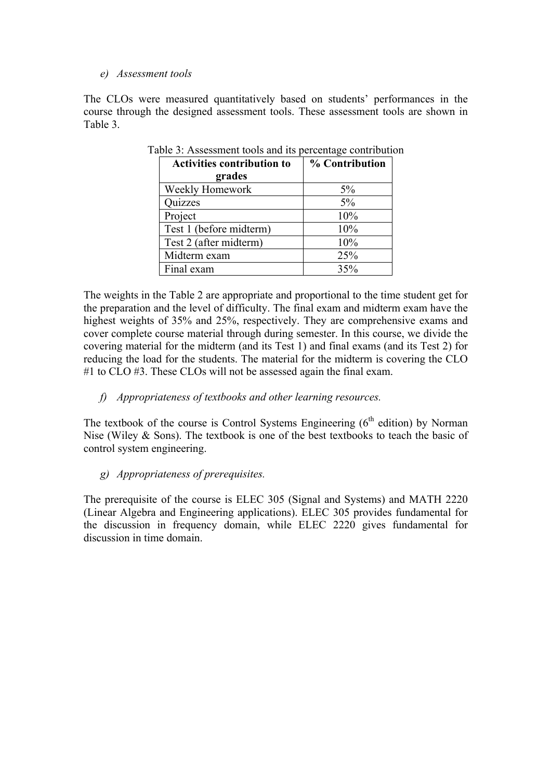#### *e) Assessment tools*

The CLOs were measured quantitatively based on students' performances in the course through the designed assessment tools. These assessment tools are shown in Table 3.

| <b>Activities contribution to</b> | % Contribution |
|-----------------------------------|----------------|
| grades                            |                |
| Weekly Homework                   | $5\%$          |
| Quizzes                           | 5%             |
| Project                           | 10%            |
| Test 1 (before midterm)           | 10%            |
| Test 2 (after midterm)            | 10%            |
| Midterm exam                      | 25%            |
| Final exam                        | 35%            |

Table 3: Assessment tools and its percentage contribution

The weights in the Table 2 are appropriate and proportional to the time student get for the preparation and the level of difficulty. The final exam and midterm exam have the highest weights of 35% and 25%, respectively. They are comprehensive exams and cover complete course material through during semester. In this course, we divide the covering material for the midterm (and its Test 1) and final exams (and its Test 2) for reducing the load for the students. The material for the midterm is covering the CLO #1 to CLO #3. These CLOs will not be assessed again the final exam.

#### *f) Appropriateness of textbooks and other learning resources.*

The textbook of the course is Control Systems Engineering  $(6<sup>th</sup>$  edition) by Norman Nise (Wiley & Sons). The textbook is one of the best textbooks to teach the basic of control system engineering.

#### *g) Appropriateness of prerequisites.*

The prerequisite of the course is ELEC 305 (Signal and Systems) and MATH 2220 (Linear Algebra and Engineering applications). ELEC 305 provides fundamental for the discussion in frequency domain, while ELEC 2220 gives fundamental for discussion in time domain.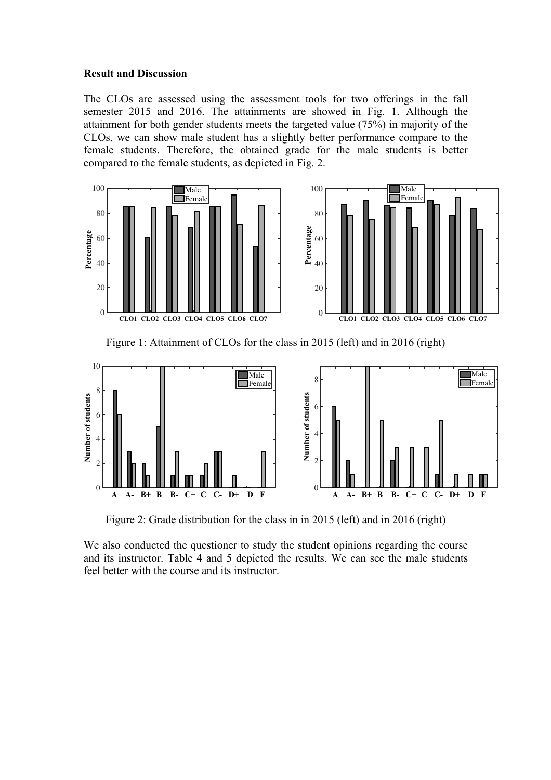#### **Result and Discussion**

The CLOs are assessed using the assessment tools for two offerings in the fall semester 2015 and 2016. The attainments are showed in Fig. 1. Although the attainment for both gender students meets the targeted value (75%) in majority of the CLOs, we can show male student has a slightly better performance compare to the female students. Therefore, the obtained grade for the male students is better compared to the female students, as depicted in Fig. 2.



Figure 1: Attainment of CLOs for the class in 2015 (left) and in 2016 (right)



Figure 2: Grade distribution for the class in in 2015 (left) and in 2016 (right)

We also conducted the questioner to study the student opinions regarding the course and its instructor. Table 4 and 5 depicted the results. We can see the male students feel better with the course and its instructor.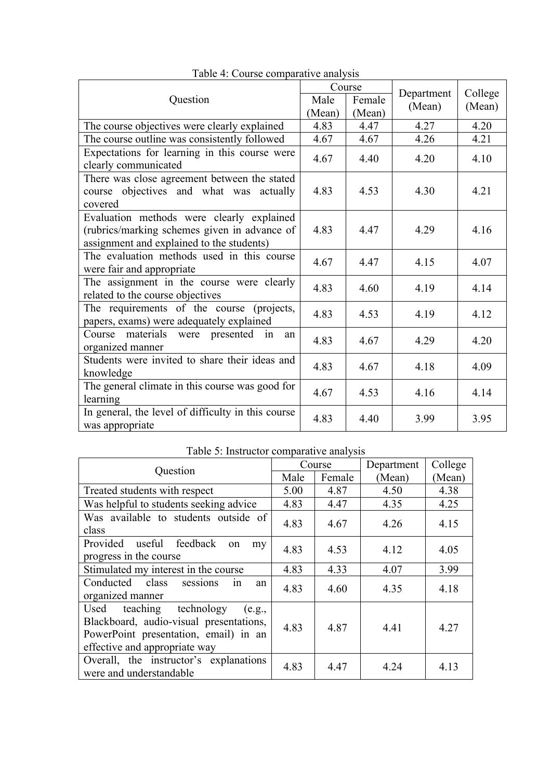|                                                                                                                                        | Course |        |                      |                   |
|----------------------------------------------------------------------------------------------------------------------------------------|--------|--------|----------------------|-------------------|
| Question                                                                                                                               | Male   | Female | Department<br>(Mean) | College<br>(Mean) |
|                                                                                                                                        | (Mean) | (Mean) |                      |                   |
| The course objectives were clearly explained                                                                                           | 4.83   | 4.47   | 4.27                 | 4.20              |
| The course outline was consistently followed                                                                                           | 4.67   | 4.67   | 4.26                 | 4.21              |
| Expectations for learning in this course were<br>clearly communicated                                                                  | 4.67   | 4.40   | 4.20                 | 4.10              |
| There was close agreement between the stated<br>course objectives and what was actually<br>covered                                     | 4.83   | 4.53   | 4.30                 | 4.21              |
| Evaluation methods were clearly explained<br>(rubrics/marking schemes given in advance of<br>assignment and explained to the students) | 4.83   | 4.47   | 4.29                 | 4.16              |
| The evaluation methods used in this course<br>were fair and appropriate                                                                | 4.67   | 4.47   | 4.15                 | 4.07              |
| The assignment in the course were clearly<br>related to the course objectives                                                          | 4.83   | 4.60   | 4.19                 | 4.14              |
| The requirements of the course (projects,<br>papers, exams) were adequately explained                                                  | 4.83   | 4.53   | 4.19                 | 4.12              |
| Course<br>materials were presented<br>in<br>an<br>organized manner                                                                     | 4.83   | 4.67   | 4.29                 | 4.20              |
| Students were invited to share their ideas and<br>knowledge                                                                            | 4.83   | 4.67   | 4.18                 | 4.09              |
| The general climate in this course was good for<br>learning                                                                            | 4.67   | 4.53   | 4.16                 | 4.14              |
| In general, the level of difficulty in this course<br>was appropriate                                                                  | 4.83   | 4.40   | 3.99                 | 3.95              |

Table 4: Course comparative analysis

## Table 5: Instructor comparative analysis

|                                                                                                                                                         | Course |        | Department | College |
|---------------------------------------------------------------------------------------------------------------------------------------------------------|--------|--------|------------|---------|
| Question                                                                                                                                                | Male   | Female | (Mean)     | (Mean)  |
| Treated students with respect                                                                                                                           | 5.00   | 4.87   | 4.50       | 4.38    |
| Was helpful to students seeking advice                                                                                                                  | 4.83   | 4.47   | 4.35       | 4.25    |
| Was available to students outside of<br>class                                                                                                           | 4.83   | 4.67   | 4.26       | 4.15    |
| Provided useful feedback<br>on<br>my<br>progress in the course                                                                                          | 4.83   | 4.53   | 4.12       | 4.05    |
| Stimulated my interest in the course                                                                                                                    | 4.83   | 4.33   | 4.07       | 3.99    |
| Conducted class<br>sessions<br>1n<br>an<br>organized manner                                                                                             | 4.83   | 4.60   | 4.35       | 4.18    |
| Used teaching technology<br>(e.g.,<br>Blackboard, audio-visual presentations,<br>PowerPoint presentation, email) in an<br>effective and appropriate way | 4.83   | 4.87   | 4.41       | 4.27    |
| Overall, the instructor's explanations<br>were and understandable                                                                                       | 4.83   | 4.47   | 4.24       | 4.13    |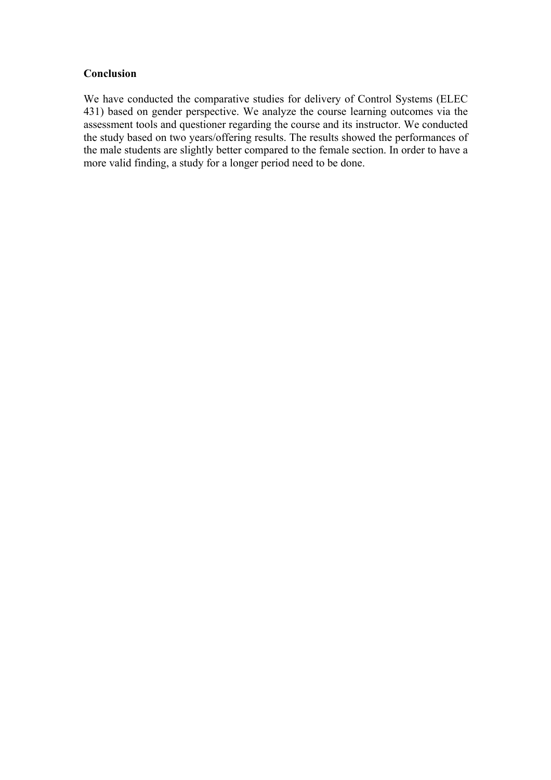#### **Conclusion**

We have conducted the comparative studies for delivery of Control Systems (ELEC 431) based on gender perspective. We analyze the course learning outcomes via the assessment tools and questioner regarding the course and its instructor. We conducted the study based on two years/offering results. The results showed the performances of the male students are slightly better compared to the female section. In order to have a more valid finding, a study for a longer period need to be done.